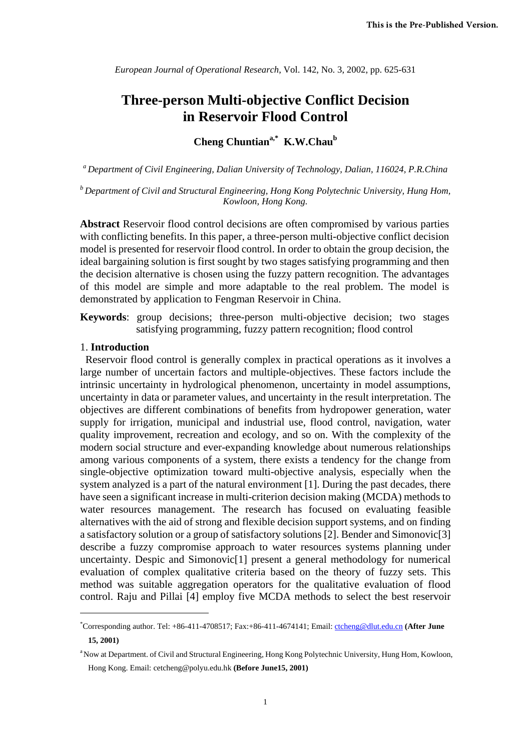*European Journal of Operational Research*, Vol. 142, No. 3, 2002, pp. 625-631

# **Three-person Multi-objective Conflict Decision in Reservoir Flood Control**

# **Cheng Chuntiana,\* K.W.Chaub**

*a Department of Civil Engineering, Dalian University of Technology, Dalian, 116024, P.R.China* 

*b Department of Civil and Structural Engineering, Hong Kong Polytechnic University, Hung Hom, Kowloon, Hong Kong.* 

**Abstract** Reservoir flood control decisions are often compromised by various parties with conflicting benefits. In this paper, a three-person multi-objective conflict decision model is presented for reservoir flood control. In order to obtain the group decision, the ideal bargaining solution is first sought by two stages satisfying programming and then the decision alternative is chosen using the fuzzy pattern recognition. The advantages of this model are simple and more adaptable to the real problem. The model is demonstrated by application to Fengman Reservoir in China.

**Keywords**: group decisions; three-person multi-objective decision; two stages satisfying programming, fuzzy pattern recognition; flood control

#### 1. **Introduction**

 $\overline{a}$ 

 Reservoir flood control is generally complex in practical operations as it involves a large number of uncertain factors and multiple-objectives. These factors include the intrinsic uncertainty in hydrological phenomenon, uncertainty in model assumptions, uncertainty in data or parameter values, and uncertainty in the result interpretation. The objectives are different combinations of benefits from hydropower generation, water supply for irrigation, municipal and industrial use, flood control, navigation, water quality improvement, recreation and ecology, and so on. With the complexity of the modern social structure and ever-expanding knowledge about numerous relationships among various components of a system, there exists a tendency for the change from single-objective optimization toward multi-objective analysis, especially when the system analyzed is a part of the natural environment [1]. During the past decades, there have seen a significant increase in multi-criterion decision making (MCDA) methods to water resources management. The research has focused on evaluating feasible alternatives with the aid of strong and flexible decision support systems, and on finding a satisfactory solution or a group of satisfactory solutions [2]. Bender and Simonovic[3] describe a fuzzy compromise approach to water resources systems planning under uncertainty. Despic and Simonovic[1] present a general methodology for numerical evaluation of complex qualitative criteria based on the theory of fuzzy sets. This method was suitable aggregation operators for the qualitative evaluation of flood control. Raju and Pillai [4] employ five MCDA methods to select the best reservoir

<sup>\*</sup> Corresponding author. Tel: +86-411-4708517; Fax:+86-411-4674141; Email: ctcheng@dlut.edu.cn **(After June 15, 2001)** 

<sup>&</sup>lt;sup>a</sup> Now at Department. of Civil and Structural Engineering, Hong Kong Polytechnic University, Hung Hom, Kowloon, Hong Kong. Email: cetcheng@polyu.edu.hk **(Before June15, 2001)**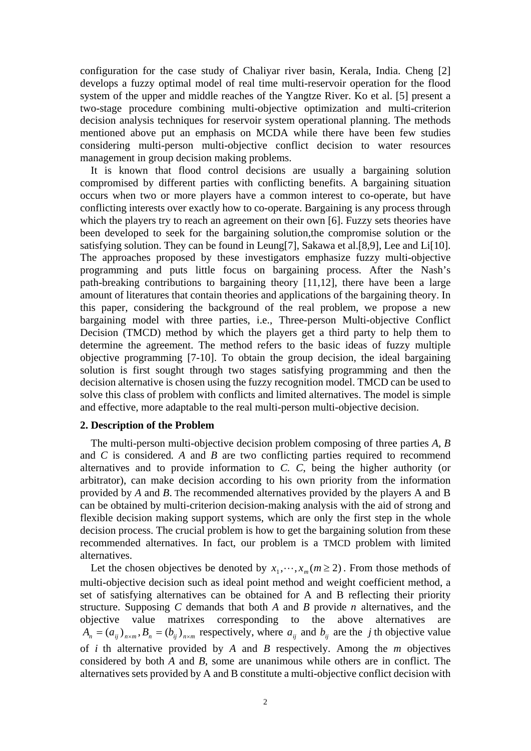configuration for the case study of Chaliyar river basin, Kerala, India. Cheng [2] develops a fuzzy optimal model of real time multi-reservoir operation for the flood system of the upper and middle reaches of the Yangtze River. Ko et al. [5] present a two-stage procedure combining multi-objective optimization and multi-criterion decision analysis techniques for reservoir system operational planning. The methods mentioned above put an emphasis on MCDA while there have been few studies considering multi-person multi-objective conflict decision to water resources management in group decision making problems.

It is known that flood control decisions are usually a bargaining solution compromised by different parties with conflicting benefits. A bargaining situation occurs when two or more players have a common interest to co-operate, but have conflicting interests over exactly how to co-operate. Bargaining is any process through which the players try to reach an agreement on their own [6]. Fuzzy sets theories have been developed to seek for the bargaining solution,the compromise solution or the satisfying solution. They can be found in Leung[7], Sakawa et al.[8,9], Lee and Li[10]. The approaches proposed by these investigators emphasize fuzzy multi-objective programming and puts little focus on bargaining process. After the Nash's path-breaking contributions to bargaining theory [11,12], there have been a large amount of literatures that contain theories and applications of the bargaining theory. In this paper, considering the background of the real problem, we propose a new bargaining model with three parties, i.e., Three-person Multi-objective Conflict Decision (TMCD) method by which the players get a third party to help them to determine the agreement. The method refers to the basic ideas of fuzzy multiple objective programming [7-10]. To obtain the group decision, the ideal bargaining solution is first sought through two stages satisfying programming and then the decision alternative is chosen using the fuzzy recognition model. TMCD can be used to solve this class of problem with conflicts and limited alternatives. The model is simple and effective, more adaptable to the real multi-person multi-objective decision.

### **2. Description of the Problem**

The multi-person multi-objective decision problem composing of three parties *A*, *B* and *C* is considered*. A* and *B* are two conflicting parties required to recommend alternatives and to provide information to *C. C*, being the higher authority (or arbitrator), can make decision according to his own priority from the information provided by *A* and *B*. The recommended alternatives provided by the players A and B can be obtained by multi-criterion decision-making analysis with the aid of strong and flexible decision making support systems, which are only the first step in the whole decision process. The crucial problem is how to get the bargaining solution from these recommended alternatives. In fact, our problem is a TMCD problem with limited alternatives.

Let the chosen objectives be denoted by  $x_1, \dots, x_m$  ( $m \ge 2$ ). From those methods of multi-objective decision such as ideal point method and weight coefficient method, a set of satisfying alternatives can be obtained for A and B reflecting their priority structure. Supposing *C* demands that both *A* and *B* provide *n* alternatives, and the objective value matrixes corresponding to the above alternatives are  $A_n = (a_{ij})_{n \times m}$ ,  $B_n = (b_{ij})_{n \times m}$  respectively, where  $a_{ij}$  and  $b_{ij}$  are the *j* th objective value of *i* th alternative provided by *A* and *B* respectively. Among the *m* objectives considered by both *A* and *B*, some are unanimous while others are in conflict. The alternatives sets provided by A and B constitute a multi-objective conflict decision with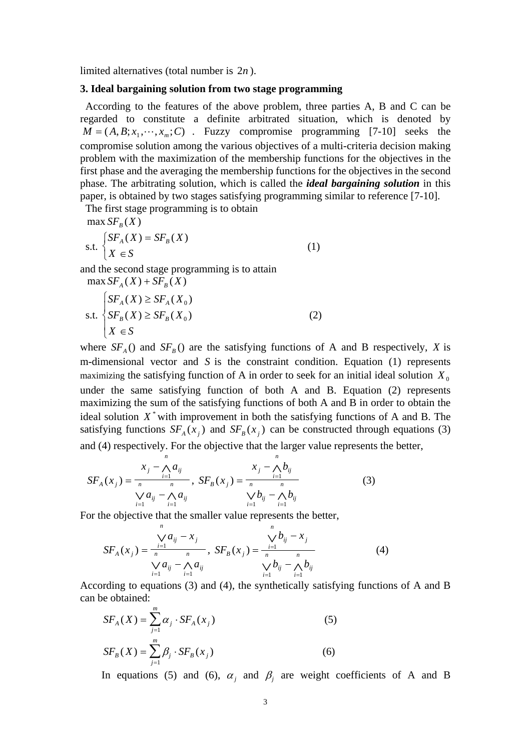limited alternatives (total number is 2*n* ).

### **3. Ideal bargaining solution from two stage programming**

 According to the features of the above problem, three parties A, B and C can be regarded to constitute a definite arbitrated situation, which is denoted by  $M = (A, B; x_1, \dots, x_m; C)$  Fuzzy compromise programming [7-10] seeks the compromise solution among the various objectives of a multi-criteria decision making problem with the maximization of the membership functions for the objectives in the first phase and the averaging the membership functions for the objectives in the second phase. The arbitrating solution, which is called the *ideal bargaining solution* in this paper, is obtained by two stages satisfying programming similar to reference [7-10].

The first stage programming is to obtain

 $max S F<sub>B</sub>(X)$ 

$$
\text{s.t.} \begin{cases} SF_A(X) = SF_B(X) \\ X \in S \end{cases} \tag{1}
$$

and the second stage programming is to attain

 $\max S_{A}(X) + S_{B}(X)$ 

$$
\text{s.t.} \begin{cases} SF_A(X) \ge SF_A(X_0) \\ SF_B(X) \ge SF_B(X_0) \\ X \in S \end{cases} \tag{2}
$$

where  $SF_A()$  and  $SF_B()$  are the satisfying functions of A and B respectively, *X* is m-dimensional vector and *S* is the constraint condition. Equation (1) represents maximizing the satisfying function of A in order to seek for an initial ideal solution  $X_0$ under the same satisfying function of both A and B. Equation (2) represents maximizing the sum of the satisfying functions of both A and B in order to obtain the ideal solution  $X^*$  with improvement in both the satisfying functions of A and B. The satisfying functions  $SF_A(x_i)$  and  $SF_B(x_i)$  can be constructed through equations (3) and (4) respectively. For the objective that the larger value represents the better,

$$
SF_A(x_j) = \frac{x_j - \bigwedge_{i=1}^n a_{ij}}{n} \, , \, SF_B(x_j) = \frac{x_j - \bigwedge_{i=1}^n b_{ij}}{n} \, (3) \, (3)
$$

For the objective that the smaller value represents the better,

$$
SF_A(x_j) = \frac{\sqrt[n]{a_{ij} - x_j}}{n \sqrt[n]{a_{ij} - x_j}}, \quad SF_B(x_j) = \frac{\sqrt[n]{b_{ij} - x_j}}{n \sqrt[n]{a_{ij} - x_j}} \quad (4)
$$

According to equations (3) and (4), the synthetically satisfying functions of A and B can be obtained:

$$
SF_A(X) = \sum_{j=1}^{m} \alpha_j \cdot SF_A(x_j)
$$
\n
$$
SF_B(X) = \sum_{j=1}^{m} \beta_j \cdot SF_B(x_j)
$$
\n(6)

In equations (5) and (6),  $\alpha_i$  and  $\beta_i$  are weight coefficients of A and B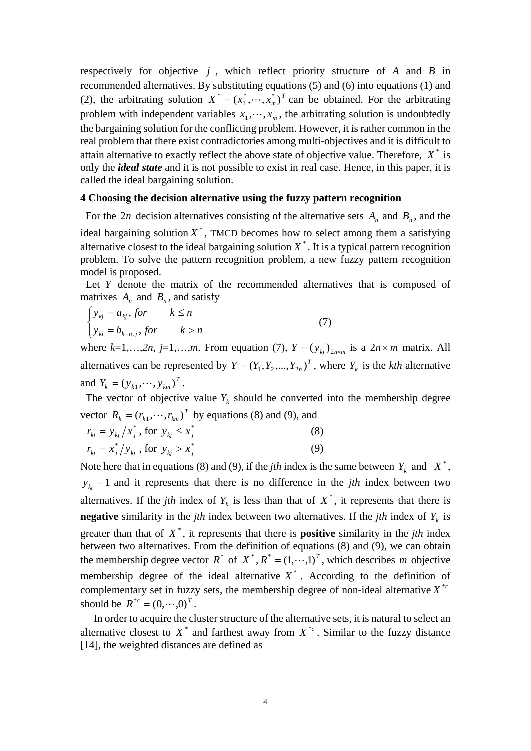respectively for objective *j* , which reflect priority structure of *A* and *B* in recommended alternatives. By substituting equations (5) and (6) into equations (1) and (2), the arbitrating solution  $X^* = (x_1^*, \dots, x_m^*)^T$  can be obtained. For the arbitrating problem with independent variables  $x_1, \dots, x_m$ , the arbitrating solution is undoubtedly the bargaining solution for the conflicting problem. However, it is rather common in the real problem that there exist contradictories among multi-objectives and it is difficult to attain alternative to exactly reflect the above state of objective value. Therefore,  $X^*$  is only the *ideal state* and it is not possible to exist in real case. Hence, in this paper, it is called the ideal bargaining solution.

#### **4 Choosing the decision alternative using the fuzzy pattern recognition**

For the 2*n* decision alternatives consisting of the alternative sets  $A_n$  and  $B_n$ , and the ideal bargaining solution  $X^*$ , TMCD becomes how to select among them a satisfying alternative closest to the ideal bargaining solution  $X^*$ . It is a typical pattern recognition problem. To solve the pattern recognition problem, a new fuzzy pattern recognition model is proposed.

Let *Y* denote the matrix of the recommended alternatives that is composed of matrixes  $A_n$  and  $B_n$ , and satisfy

$$
\begin{cases}\n y_{kj} = a_{kj}, \text{for} & k \le n \\
 y_{kj} = b_{k-n,j}, \text{for} & k > n\n\end{cases}
$$
\n(7)

where  $k=1,\ldots,2n$ ,  $j=1,\ldots,m$ . From equation (7),  $Y=(y_{ki})_{i=n\times m}$  is a  $2n\times m$  matrix. All alternatives can be represented by  $Y = (Y_1, Y_2, ..., Y_{2n})^T$ , where  $Y_k$  is the *kth* alternative and  $Y_k = (y_{k1}, \dots, y_{km})^T$ .

The vector of objective value  $Y_k$  should be converted into the membership degree vector  $R_k = (r_{k1}, \dots, r_{km})^T$  by equations (8) and (9), and

$$
r_{kj} = y_{kj} / x_j^*, \text{ for } y_{kj} \le x_j^* \nr_{kj} = x_j^* / y_{kj}, \text{ for } y_{kj} > x_j^*
$$
\n(8)

Note here that in equations (8) and (9), if the *j*th index is the same between  $Y_k$  and  $X^*$ ,  $y_{ki}$  = 1 and it represents that there is no difference in the *jth* index between two alternatives. If the *jth* index of  $Y_k$  is less than that of  $X^*$ , it represents that there is **negative** similarity in the *jth* index between two alternatives. If the *jth* index of  $Y_k$  is greater than that of *X* \* , it represents that there is **positive** similarity in the *jth* index between two alternatives. From the definition of equations (8) and (9), we can obtain the membership degree vector  $R^*$  of  $X^*, R^* = (1, \dots, 1)^T$ , which describes *m* objective membership degree of the ideal alternative  $X^*$ . According to the definition of complementary set in fuzzy sets, the membership degree of non-ideal alternative  $X^{*c}$ should be  $R^{*c} = (0, \dots, 0)^T$ .

 In order to acquire the cluster structure of the alternative sets, it is natural to select an alternative closest to  $X^*$  and farthest away from  $X^{*c}$ . Similar to the fuzzy distance [14], the weighted distances are defined as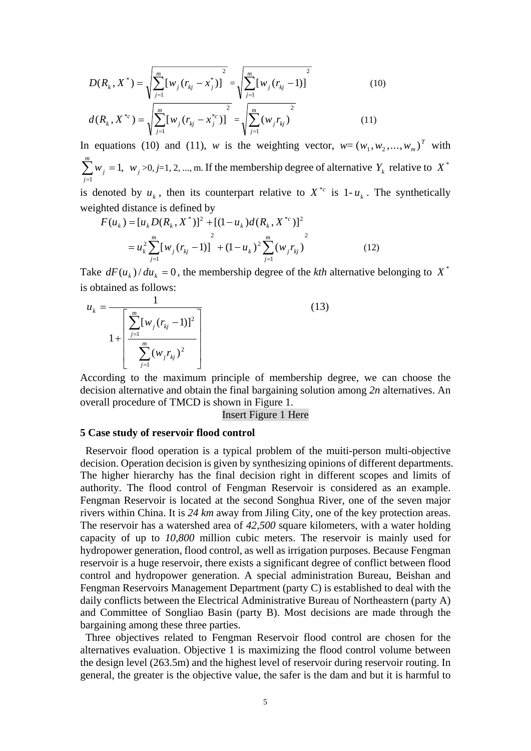$$
D(R_k, X^*) = \sqrt{\sum_{j=1}^m [w_j (r_{kj} - x_j^*)]^{2}} = \sqrt{\sum_{j=1}^m [w_j (r_{kj} - 1)]^{2}}
$$
(10)  

$$
d(R_k, X^{*c}) = \sqrt{\sum_{j=1}^m [w_j (r_{kj} - x_j^{*c})]^{2}} = \sqrt{\sum_{j=1}^m (w_j r_{kj})^{2}}
$$
(11)

In equations (10) and (11), *w* is the weighting vector,  $w = (w_1, w_2, ..., w_m)^T$  with 1,  $\sum_{j=1}^{m} w_j =$ *j*  $w_j = 1$ ,  $w_j > 0, j=1, 2, ..., m$ . If the membership degree of alternative  $Y_k$  relative to  $X^*$ 

is denoted by  $u_k$ , then its counterpart relative to  $X^{*c}$  is 1- $u_k$ . The synthetically weighted distance is defined by \* <sup>2</sup> \* <sup>2</sup> ( ) [ ( , )] [(1 ) ( , )] *<sup>c</sup> <sup>F</sup> uk uk <sup>D</sup> Rk <sup>X</sup> uk <sup>d</sup> Rk <sup>X</sup>*

$$
F(u_k) = [u_k D(R_k, X^*)]^2 + [(1 - u_k) d(R_k, X^{*c})]^2
$$
  
=  $u_k^2 \sum_{j=1}^m [w_j (r_{kj} - 1)]^2 + (1 - u_k)^2 \sum_{j=1}^m (w_j r_{kj})^2$  (12)

Take  $dF(u_k)/du_k = 0$ , the membership degree of the *kth* alternative belonging to  $X^*$ is obtained as follows:

$$
u_{k} = \frac{1}{1 + \left[\sum_{j=1}^{m} [w_{j}(r_{kj} - 1)]^{2}\right]}
$$
(13)

According to the maximum principle of membership degree, we can choose the decision alternative and obtain the final bargaining solution among *2n* alternatives. An overall procedure of TMCD is shown in Figure 1.

### Insert Figure 1 Here

#### **5 Case study of reservoir flood control**

 Reservoir flood operation is a typical problem of the muiti-person multi-objective decision. Operation decision is given by synthesizing opinions of different departments. The higher hierarchy has the final decision right in different scopes and limits of authority. The flood control of Fengman Reservoir is considered as an example. Fengman Reservoir is located at the second Songhua River, one of the seven major rivers within China. It is *24 km* away from Jiling City, one of the key protection areas. The reservoir has a watershed area of *42,500* square kilometers, with a water holding capacity of up to *10,800* million cubic meters. The reservoir is mainly used for hydropower generation, flood control, as well as irrigation purposes. Because Fengman reservoir is a huge reservoir, there exists a significant degree of conflict between flood control and hydropower generation. A special administration Bureau, Beishan and Fengman Reservoirs Management Department (party C) is established to deal with the daily conflicts between the Electrical Administrative Bureau of Northeastern (party A) and Committee of Songliao Basin (party B). Most decisions are made through the bargaining among these three parties.

Three objectives related to Fengman Reservoir flood control are chosen for the alternatives evaluation. Objective 1 is maximizing the flood control volume between the design level (263.5m) and the highest level of reservoir during reservoir routing. In general, the greater is the objective value, the safer is the dam and but it is harmful to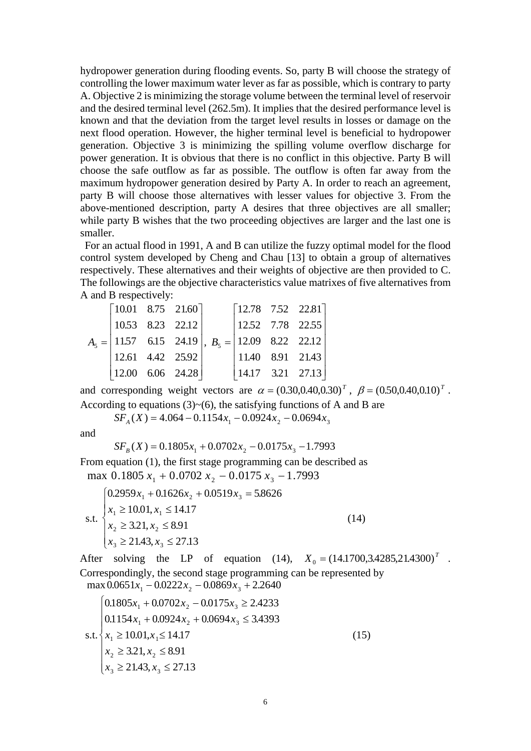hydropower generation during flooding events. So, party B will choose the strategy of controlling the lower maximum water lever as far as possible, which is contrary to party A. Objective 2 is minimizing the storage volume between the terminal level of reservoir and the desired terminal level (262.5m). It implies that the desired performance level is known and that the deviation from the target level results in losses or damage on the next flood operation. However, the higher terminal level is beneficial to hydropower generation. Objective 3 is minimizing the spilling volume overflow discharge for power generation. It is obvious that there is no conflict in this objective. Party B will choose the safe outflow as far as possible. The outflow is often far away from the maximum hydropower generation desired by Party A. In order to reach an agreement, party B will choose those alternatives with lesser values for objective 3. From the above-mentioned description, party A desires that three objectives are all smaller; while party B wishes that the two proceeding objectives are larger and the last one is smaller.

 For an actual flood in 1991, A and B can utilize the fuzzy optimal model for the flood control system developed by Cheng and Chau [13] to obtain a group of alternatives respectively. These alternatives and their weights of objective are then provided to C. The followings are the objective characteristics value matrixes of five alternatives from A and B respectively:

|  | $\begin{bmatrix} 10.01 & 8.75 & 21.60 \end{bmatrix}$ |  | $A_5 =  11.57 \t6.15 \t24.19  , B_5 =  12.09 \t8.22 \t22.12$ |                    | $\begin{bmatrix} 12.78 & 7.52 & 22.81 \end{bmatrix}$ |
|--|------------------------------------------------------|--|--------------------------------------------------------------|--------------------|------------------------------------------------------|
|  | $\begin{vmatrix} 10.53 & 8.23 & 22.12 \end{vmatrix}$ |  |                                                              | $12.52$ 7.78 22.55 |                                                      |
|  |                                                      |  |                                                              |                    |                                                      |
|  | 12.61 $\,$ 4.42 $\,$ 25.92                           |  |                                                              |                    | 11.40 8.91 21.43                                     |
|  | $\begin{vmatrix} 12.00 & 6.06 & 24.28 \end{vmatrix}$ |  |                                                              | 14.17 3.21 27.13   |                                                      |

and corresponding weight vectors are  $\alpha = (0.30, 0.40, 0.30)^T$ ,  $\beta = (0.50, 0.40, 0.10)^T$ . According to equations  $(3)$  ~ $(6)$ , the satisfying functions of A and B are

 $SF_A(X) = 4.064 - 0.1154x_1 - 0.0924x_2 - 0.0694x_3$ 

and

 $SF_{B}(X) = 0.1805x_1 + 0.0702x_2 - 0.0175x_3 - 1.7993$ 

From equation (1), the first stage programming can be described as max  $0.1805 x_1 + 0.0702 x_2 - 0.0175 x_3 - 1.7993$ 

s.t. 
$$
\begin{cases}\n0.2959x_1 + 0.1626x_2 + 0.0519x_3 = 5.8626 \\
x_1 \ge 10.01, x_1 \le 14.17 \\
x_2 \ge 3.21, x_2 \le 8.91 \\
x_3 \ge 21.43, x_3 \le 27.13\n\end{cases}
$$
\n(14)

After solving the LP of equation (14),  $X_0 = (14.1700, 3.4285, 21.4300)^T$ . Correspondingly, the second stage programming can be represented by  $\max 0.0651x_1 - 0.0222x_2 - 0.0869x_3 + 2.2640$ 

$$
0.1805x1 + 0.0702x2 - 0.0175x3 \ge 2.4233
$$
  
\n
$$
0.1154x1 + 0.0924x2 + 0.0694x3 \le 3.4393
$$
  
\ns.t. 
$$
\begin{cases} x_1 \ge 10.01, x_1 \le 14.17 \\ x_2 \ge 3.21, x_2 \le 8.91 \\ x_3 \ge 21.43, x_3 \le 27.13 \end{cases}
$$
 (15)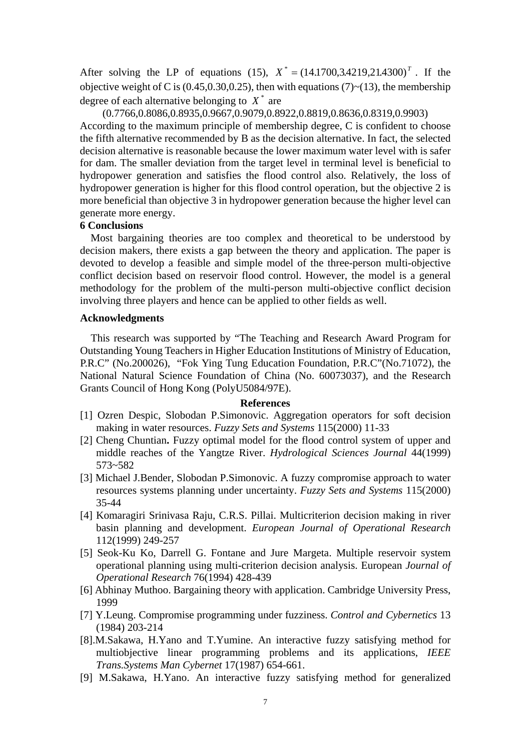After solving the LP of equations (15),  $X^* = (14.1700, 3.4219, 21.4300)^T$ . If the objective weight of C is  $(0.45, 0.30, 0.25)$ , then with equations  $(7) \sim (13)$ , the membership degree of each alternative belonging to  $X^*$  are

(0.7766,0.8086,0.8935,0.9667,0.9079,0.8922,0.8819,0.8636,0.8319,0.9903) According to the maximum principle of membership degree, C is confident to choose the fifth alternative recommended by B as the decision alternative. In fact, the selected decision alternative is reasonable because the lower maximum water level with is safer for dam. The smaller deviation from the target level in terminal level is beneficial to hydropower generation and satisfies the flood control also. Relatively, the loss of hydropower generation is higher for this flood control operation, but the objective 2 is more beneficial than objective 3 in hydropower generation because the higher level can generate more energy.

### **6 Conclusions**

Most bargaining theories are too complex and theoretical to be understood by decision makers, there exists a gap between the theory and application. The paper is devoted to develop a feasible and simple model of the three-person multi-objective conflict decision based on reservoir flood control. However, the model is a general methodology for the problem of the multi-person multi-objective conflict decision involving three players and hence can be applied to other fields as well.

#### **Acknowledgments**

This research was supported by "The Teaching and Research Award Program for Outstanding Young Teachers in Higher Education Institutions of Ministry of Education, P.R.C" (No.200026), "Fok Ying Tung Education Foundation, P.R.C"(No.71072), the National Natural Science Foundation of China (No. 60073037), and the Research Grants Council of Hong Kong (PolyU5084/97E).

#### **References**

- [1] Ozren Despic, Slobodan P.Simonovic. Aggregation operators for soft decision making in water resources. *Fuzzy Sets and Systems* 115(2000) 11-33
- [2] Cheng Chuntian**.** Fuzzy optimal model for the flood control system of upper and middle reaches of the Yangtze River. *Hydrological Sciences Journal* 44(1999) 573~582
- [3] Michael J.Bender, Slobodan P.Simonovic. A fuzzy compromise approach to water resources systems planning under uncertainty. *Fuzzy Sets and Systems* 115(2000) 35-44
- [4] Komaragiri Srinivasa Raju, C.R.S. Pillai. Multicriterion decision making in river basin planning and development. *European Journal of Operational Research* 112(1999) 249-257
- [5] Seok-Ku Ko, Darrell G. Fontane and Jure Margeta. Multiple reservoir system operational planning using multi-criterion decision analysis. European *Journal of Operational Research* 76(1994) 428-439
- [6] Abhinay Muthoo. Bargaining theory with application. Cambridge University Press, 1999
- [7] Y.Leung. Compromise programming under fuzziness. *Control and Cybernetics* 13 (1984) 203-214
- [8].M.Sakawa, H.Yano and T.Yumine. An interactive fuzzy satisfying method for multiobjective linear programming problems and its applications, *IEEE Trans.Systems Man Cybernet* 17(1987) 654-661.
- [9] M.Sakawa, H.Yano. An interactive fuzzy satisfying method for generalized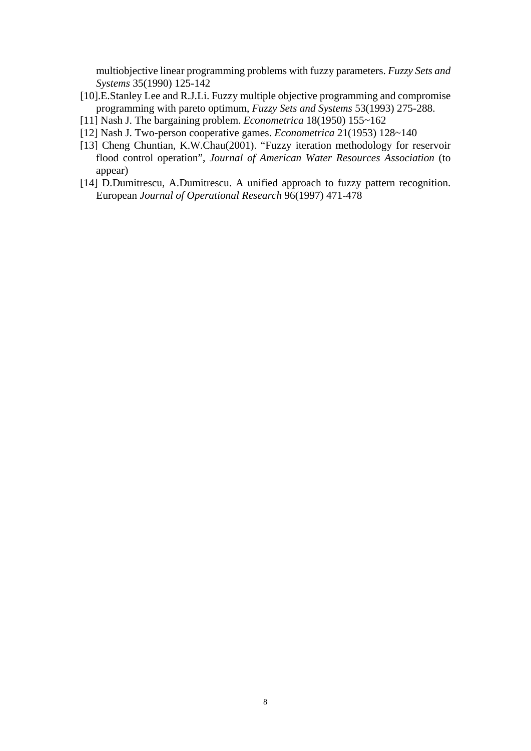multiobjective linear programming problems with fuzzy parameters. *Fuzzy Sets and Systems* 35(1990) 125-142

- [10].E.Stanley Lee and R.J.Li. Fuzzy multiple objective programming and compromise programming with pareto optimum, *Fuzzy Sets and Systems* 53(1993) 275-288.
- [11] Nash J. The bargaining problem. *Econometrica* 18(1950) 155~162
- [12] Nash J. Two-person cooperative games. *Econometrica* 21(1953) 128~140
- [13] Cheng Chuntian, K.W.Chau(2001). "Fuzzy iteration methodology for reservoir flood control operation", *Journal of American Water Resources Association* (to appear)
- [14] D.Dumitrescu, A.Dumitrescu. A unified approach to fuzzy pattern recognition. European *Journal of Operational Research* 96(1997) 471-478